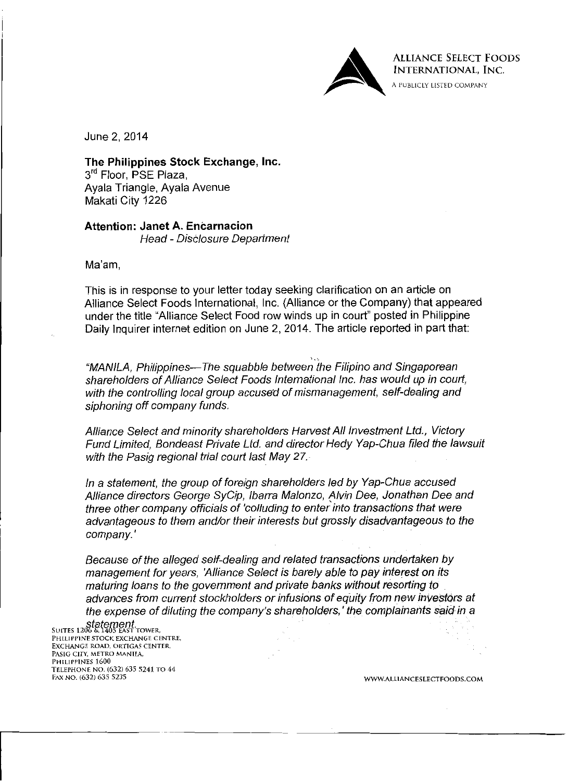

**ALLIANCE SELECT FOODS** INTERNATIONAL, INC.

A PUBLICLY LISTED COMPANY

June 2, 2014

The Philippines Stock Exchange, Inc. 3<sup>rd</sup> Floor, PSE Plaza, Ayala Triangle, Ayala Avenue Makati City 1226

**Attention: Janet A. Encarnacion** Head - Disclosure Department

Ma'am.

This is in response to your letter today seeking clarification on an article on Alliance Select Foods International, Inc. (Alliance or the Company) that appeared under the title "Alliance Select Food row winds up in court" posted in Philippine Daily Inquirer internet edition on June 2, 2014. The article reported in part that:

"MANILA, Philippines—The squabble between the Filipino and Singaporean shareholders of Alliance Select Foods International Inc. has would up in court, with the controlling local group accused of mismanagement, self-dealing and siphoning off company funds.

Alliance Select and minority shareholders Harvest All Investment Ltd., Victory Fund Limited. Bondeast Private Ltd. and director Hedy Yap-Chua filed the lawsuit with the Pasig regional trial court last May 27.

In a statement, the group of foreign shareholders led by Yap-Chua accused Alliance directors George SyCip, Ibarra Malonzo, Alvin Dee, Jonathan Dee and three other company officials of 'colluding to enter into transactions that were advantageous to them and/or their interests but grossly disadvantageous to the company.'

Because of the alleged self-dealing and related transactions undertaken by management for years. 'Alliance Select is barely able to pay interest on its maturing loans to the government and private banks without resorting to advances from current stockholders or infusions of equity from new investors at the expense of diluting the company's shareholders,' the complainants said in a

Statement. PHILIPPINE STOCK EXCHANGE CENTRE, EXCHANGE ROAD, ORTIGAS CENTER, PASIG CITY, METRO MANILA, PHILIPPINES 1600 TELEPHONE NO. (632) 635 5241 TO 44 FAX NO. (632) 635 5235

WWW.ALLIANCESLECTFOODS.COM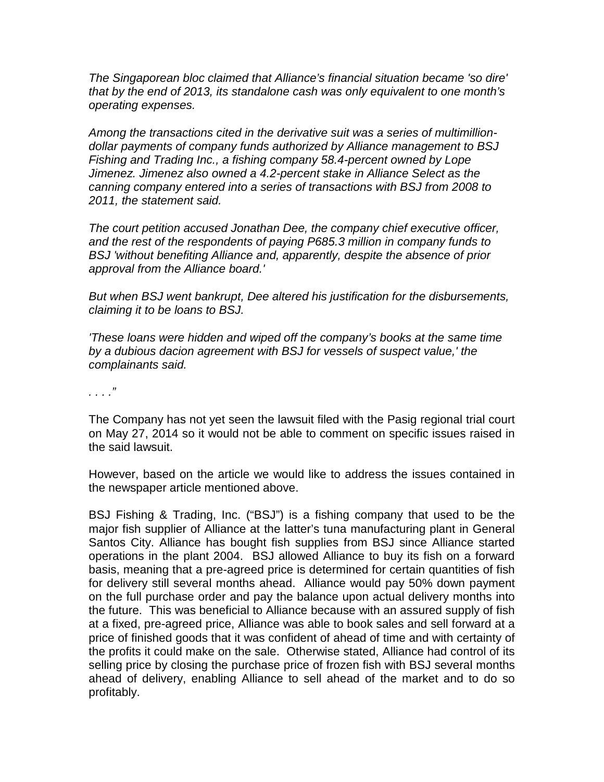*The Singaporean bloc claimed that Alliance's financial situation became 'so dire' that by the end of 2013, its standalone cash was only equivalent to one month's operating expenses.*

*Among the transactions cited in the derivative suit was a series of multimilliondollar payments of company funds authorized by Alliance management to BSJ Fishing and Trading Inc., a fishing company 58.4-percent owned by Lope Jimenez. Jimenez also owned a 4.2-percent stake in Alliance Select as the canning company entered into a series of transactions with BSJ from 2008 to 2011, the statement said.*

*The court petition accused Jonathan Dee, the company chief executive officer, and the rest of the respondents of paying P685.3 million in company funds to BSJ 'without benefiting Alliance and, apparently, despite the absence of prior approval from the Alliance board.'*

*But when BSJ went bankrupt, Dee altered his justification for the disbursements, claiming it to be loans to BSJ.*

*'These loans were hidden and wiped off the company's books at the same time by a dubious dacion agreement with BSJ for vessels of suspect value,' the complainants said.*

*. . . ."*

The Company has not yet seen the lawsuit filed with the Pasig regional trial court on May 27, 2014 so it would not be able to comment on specific issues raised in the said lawsuit.

However, based on the article we would like to address the issues contained in the newspaper article mentioned above.

BSJ Fishing & Trading, Inc. ("BSJ") is a fishing company that used to be the major fish supplier of Alliance at the latter's tuna manufacturing plant in General Santos City. Alliance has bought fish supplies from BSJ since Alliance started operations in the plant 2004. BSJ allowed Alliance to buy its fish on a forward basis, meaning that a pre-agreed price is determined for certain quantities of fish for delivery still several months ahead. Alliance would pay 50% down payment on the full purchase order and pay the balance upon actual delivery months into the future. This was beneficial to Alliance because with an assured supply of fish at a fixed, pre-agreed price, Alliance was able to book sales and sell forward at a price of finished goods that it was confident of ahead of time and with certainty of the profits it could make on the sale. Otherwise stated, Alliance had control of its selling price by closing the purchase price of frozen fish with BSJ several months ahead of delivery, enabling Alliance to sell ahead of the market and to do so profitably.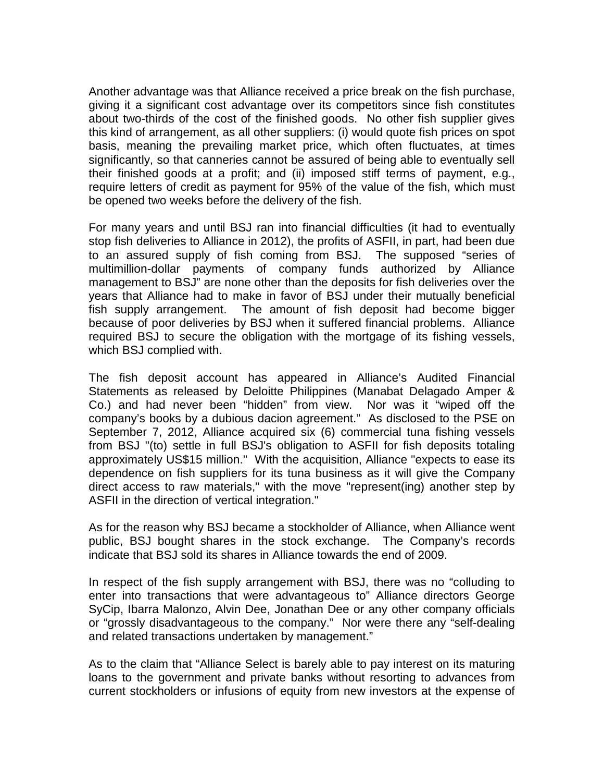Another advantage was that Alliance received a price break on the fish purchase, giving it a significant cost advantage over its competitors since fish constitutes about two-thirds of the cost of the finished goods. No other fish supplier gives this kind of arrangement, as all other suppliers: (i) would quote fish prices on spot basis, meaning the prevailing market price, which often fluctuates, at times significantly, so that canneries cannot be assured of being able to eventually sell their finished goods at a profit; and (ii) imposed stiff terms of payment, e.g., require letters of credit as payment for 95% of the value of the fish, which must be opened two weeks before the delivery of the fish.

For many years and until BSJ ran into financial difficulties (it had to eventually stop fish deliveries to Alliance in 2012), the profits of ASFII, in part, had been due to an assured supply of fish coming from BSJ. The supposed "series of multimillion-dollar payments of company funds authorized by Alliance management to BSJ" are none other than the deposits for fish deliveries over the years that Alliance had to make in favor of BSJ under their mutually beneficial fish supply arrangement. The amount of fish deposit had become bigger because of poor deliveries by BSJ when it suffered financial problems. Alliance required BSJ to secure the obligation with the mortgage of its fishing vessels, which BSJ complied with.

The fish deposit account has appeared in Alliance's Audited Financial Statements as released by Deloitte Philippines (Manabat Delagado Amper & Co.) and had never been "hidden" from view. Nor was it "wiped off the company's books by a dubious dacion agreement." As disclosed to the PSE on September 7, 2012, Alliance acquired six (6) commercial tuna fishing vessels from BSJ "(to) settle in full BSJ's obligation to ASFII for fish deposits totaling approximately US\$15 million." With the acquisition, Alliance "expects to ease its dependence on fish suppliers for its tuna business as it will give the Company direct access to raw materials," with the move "represent(ing) another step by ASFII in the direction of vertical integration."

As for the reason why BSJ became a stockholder of Alliance, when Alliance went public, BSJ bought shares in the stock exchange. The Company's records indicate that BSJ sold its shares in Alliance towards the end of 2009.

In respect of the fish supply arrangement with BSJ, there was no "colluding to enter into transactions that were advantageous to" Alliance directors George SyCip, Ibarra Malonzo, Alvin Dee, Jonathan Dee or any other company officials or "grossly disadvantageous to the company." Nor were there any "self-dealing and related transactions undertaken by management."

As to the claim that "Alliance Select is barely able to pay interest on its maturing loans to the government and private banks without resorting to advances from current stockholders or infusions of equity from new investors at the expense of